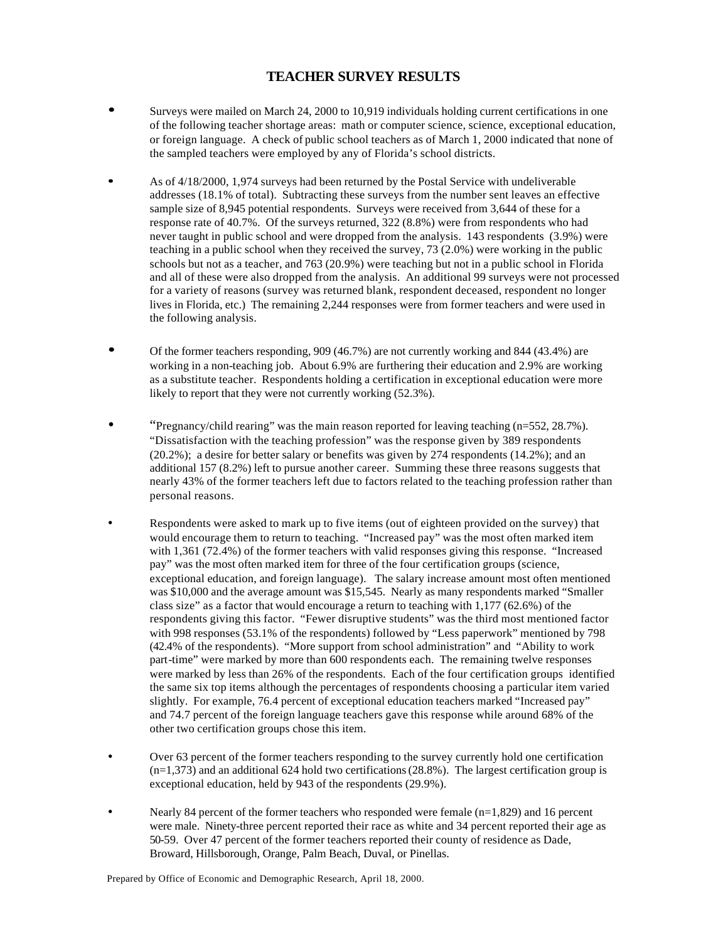## **TEACHER SURVEY RESULTS**

- **·** Surveys were mailed on March 24, 2000 to 10,919 individuals holding current certifications in one of the following teacher shortage areas: math or computer science, science, exceptional education, or foreign language. A check of public school teachers as of March 1, 2000 indicated that none of the sampled teachers were employed by any of Florida's school districts.
- As of  $4/18/2000$ , 1,974 surveys had been returned by the Postal Service with undeliverable addresses (18.1% of total). Subtracting these surveys from the number sent leaves an effective sample size of 8,945 potential respondents. Surveys were received from 3,644 of these for a response rate of 40.7%. Of the surveys returned, 322 (8.8%) were from respondents who had never taught in public school and were dropped from the analysis. 143 respondents (3.9%) were teaching in a public school when they received the survey, 73 (2.0%) were working in the public schools but not as a teacher, and 763 (20.9%) were teaching but not in a public school in Florida and all of these were also dropped from the analysis. An additional 99 surveys were not processed for a variety of reasons (survey was returned blank, respondent deceased, respondent no longer lives in Florida, etc.) The remaining 2,244 responses were from former teachers and were used in the following analysis.
- **·** Of the former teachers responding, 909 (46.7%) are not currently working and 844 (43.4%) are working in a non-teaching job. About 6.9% are furthering their education and 2.9% are working as a substitute teacher. Respondents holding a certification in exceptional education were more likely to report that they were not currently working (52.3%).
- "Pregnancy/child rearing" was the main reason reported for leaving teaching (n=552, 28.7%). "Dissatisfaction with the teaching profession" was the response given by 389 respondents (20.2%); a desire for better salary or benefits was given by 274 respondents (14.2%); and an additional 157 (8.2%) left to pursue another career. Summing these three reasons suggests that nearly 43% of the former teachers left due to factors related to the teaching profession rather than personal reasons.
- Respondents were asked to mark up to five items (out of eighteen provided on the survey) that would encourage them to return to teaching. "Increased pay" was the most often marked item with 1,361 (72.4%) of the former teachers with valid responses giving this response. "Increased pay" was the most often marked item for three of the four certification groups (science, exceptional education, and foreign language). The salary increase amount most often mentioned was \$10,000 and the average amount was \$15,545. Nearly as many respondents marked "Smaller class size" as a factor that would encourage a return to teaching with 1,177 (62.6%) of the respondents giving this factor. "Fewer disruptive students" was the third most mentioned factor with 998 responses (53.1% of the respondents) followed by "Less paperwork" mentioned by 798 (42.4% of the respondents). "More support from school administration" and "Ability to work part-time" were marked by more than 600 respondents each. The remaining twelve responses were marked by less than 26% of the respondents. Each of the four certification groups identified the same six top items although the percentages of respondents choosing a particular item varied slightly. For example, 76.4 percent of exceptional education teachers marked "Increased pay" and 74.7 percent of the foreign language teachers gave this response while around 68% of the other two certification groups chose this item.
- Over 63 percent of the former teachers responding to the survey currently hold one certification  $(n=1,373)$  and an additional 624 hold two certifications (28.8%). The largest certification group is exceptional education, held by 943 of the respondents (29.9%).
- Nearly 84 percent of the former teachers who responded were female  $(n=1,829)$  and 16 percent were male. Ninety-three percent reported their race as white and 34 percent reported their age as 50-59. Over 47 percent of the former teachers reported their county of residence as Dade, Broward, Hillsborough, Orange, Palm Beach, Duval, or Pinellas.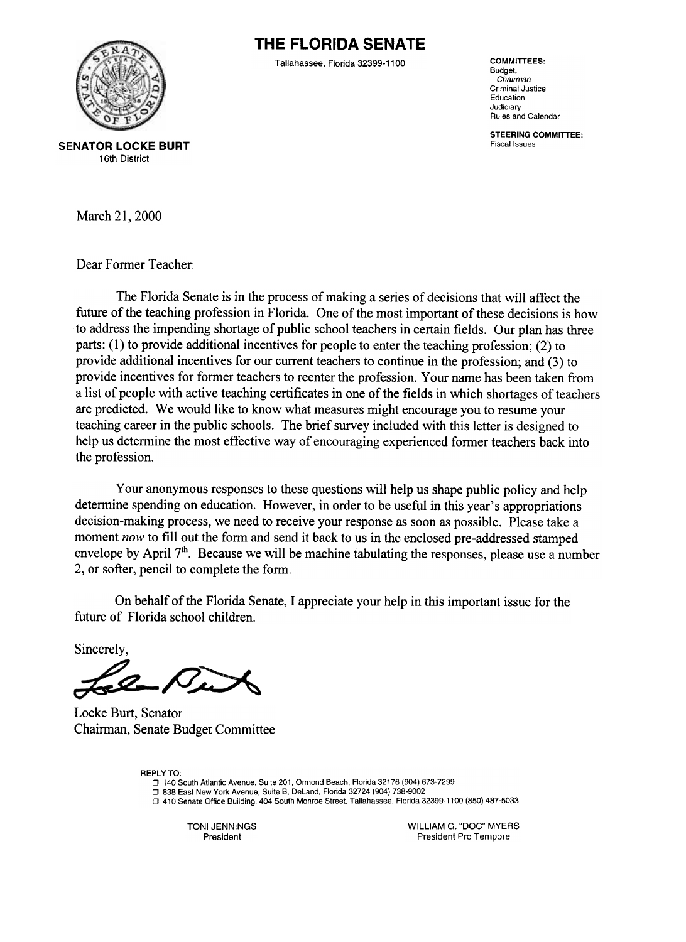# **THE FLORIDA SENATE**



Tallahassee. Florida 32399-1100

**COMMITTEES:** Budget. Chairman **Criminal Justice** Education Judiciary Rules and Calendar

**STEERING COMMITTEE: Fiscal Issues** 

**SENATOR LOCKE BURT** 16th District

March 21, 2000

Dear Former Teacher:

The Florida Senate is in the process of making a series of decisions that will affect the future of the teaching profession in Florida. One of the most important of these decisions is how to address the impending shortage of public school teachers in certain fields. Our plan has three parts: (1) to provide additional incentives for people to enter the teaching profession; (2) to provide additional incentives for our current teachers to continue in the profession; and (3) to provide incentives for former teachers to reenter the profession. Your name has been taken from a list of people with active teaching certificates in one of the fields in which shortages of teachers are predicted. We would like to know what measures might encourage you to resume your teaching career in the public schools. The brief survey included with this letter is designed to help us determine the most effective way of encouraging experienced former teachers back into the profession.

Your anonymous responses to these questions will help us shape public policy and help determine spending on education. However, in order to be useful in this year's appropriations decision-making process, we need to receive your response as soon as possible. Please take a moment now to fill out the form and send it back to us in the enclosed pre-addressed stamped envelope by April  $7<sup>th</sup>$ . Because we will be machine tabulating the responses, please use a number 2, or softer, pencil to complete the form.

On behalf of the Florida Senate, I appreciate your help in this important issue for the future of Florida school children.

Sincerely

Locke Burt, Senator Chairman, Senate Budget Committee

**REPLY TO:** □ 140 South Atlantic Avenue, Suite 201, Ormond Beach, Florida 32176 (904) 673-7299 □ 838 East New York Avenue, Suite B, DeLand, Florida 32724 (904) 738-9002 D 410 Senate Office Building, 404 South Monroe Street, Tallahassee, Florida 32399-1100 (850) 487-5033

> TONI JENNINGS President

WILLIAM G. "DOC" MYERS President Pro Tempore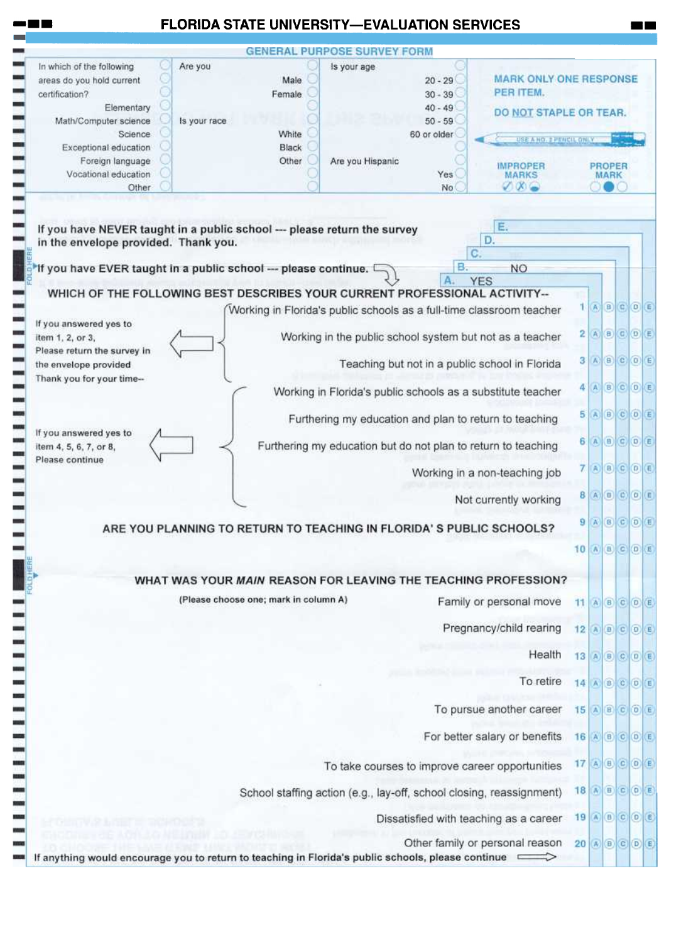|                                                                                                   | <b>GENERAL PURPOSE SURVEY FORM</b>                                       |                                                                                                             |                          |                                                                                                                                                                                                                                                                                                                                                                                               |  |
|---------------------------------------------------------------------------------------------------|--------------------------------------------------------------------------|-------------------------------------------------------------------------------------------------------------|--------------------------|-----------------------------------------------------------------------------------------------------------------------------------------------------------------------------------------------------------------------------------------------------------------------------------------------------------------------------------------------------------------------------------------------|--|
| In which of the following<br>Are you<br>areas do you hold current<br>certification?<br>Elementary | Is your age<br>Male<br>Female.                                           | <b>MARK ONLY ONE RESPONSE</b><br>$20 - 29$<br>PER ITEM.<br>$30 - 39$<br>$40 - 49$<br>DO NOT STAPLE OR TEAR. |                          |                                                                                                                                                                                                                                                                                                                                                                                               |  |
| Math/Computer science<br>Science                                                                  | Is your race.<br>White                                                   | $50 - 59$<br>60 or older<br>USE A HO. 2 PENCIL ONLY                                                         |                          |                                                                                                                                                                                                                                                                                                                                                                                               |  |
| Exceptional education<br>Foreign language<br>Vocational education<br>Other                        | Black<br>Are you Hispanic<br>Other                                       | <b>IMPROPER</b><br>Yes<br><b>MARKS</b><br>$\nabla \times \bigcirc$<br>No                                    |                          | <b>PROPER</b><br>MARK                                                                                                                                                                                                                                                                                                                                                                         |  |
| in the envelope provided. Thank you.                                                              | If you have NEVER taught in a public school --- please return the survey | Е.<br>D.<br>C.                                                                                              |                          |                                                                                                                                                                                                                                                                                                                                                                                               |  |
|                                                                                                   | If you have EVER taught in a public school --- please continue. I        | в.<br><b>NO</b><br><b>YES</b>                                                                               |                          |                                                                                                                                                                                                                                                                                                                                                                                               |  |
|                                                                                                   |                                                                          | WHICH OF THE FOLLOWING BEST DESCRIBES YOUR CURRENT PROFESSIONAL ACTIVITY--                                  |                          |                                                                                                                                                                                                                                                                                                                                                                                               |  |
|                                                                                                   |                                                                          | Working in Florida's public schools as a full-time classroom teacher                                        |                          | $1$ $\theta$ $\theta$ $\theta$ $\theta$                                                                                                                                                                                                                                                                                                                                                       |  |
| If you answered yes to<br>item 1, 2, or 3,                                                        |                                                                          | Working in the public school system but not as a teacher                                                    |                          | $2(A)$ $(0)$ $(0)$ $(E)$                                                                                                                                                                                                                                                                                                                                                                      |  |
| Please return the survey in<br>the envelope provided                                              |                                                                          | Teaching but not in a public school in Florida                                                              |                          | 3 A B C O E                                                                                                                                                                                                                                                                                                                                                                                   |  |
| Thank you for your time--                                                                         |                                                                          | Working in Florida's public schools as a substitute teacher                                                 |                          | $4$ $\overline{)$ $\overline{)$ $\overline{)$ $\overline{)$ $\overline{)$ $\overline{)$ $\overline{)$ $\overline{)$ $\overline{)$ $\overline{)$ $\overline{)$ $\overline{)$ $\overline{)$ $\overline{)$ $\overline{)$ $\overline{)$ $\overline{)$ $\overline{)$ $\overline{)$ $\overline{)$ $\overline{)$ $\overline{)$ $\overline{)$ $\overline{)$ $\overline{)$ $\overline{)$ $\overline{)$ |  |
| If you answered yes to                                                                            |                                                                          | Furthering my education and plan to return to teaching                                                      |                          | $5$ $\bigcirc$ $6$ $\bigcirc$ $6$ $\bigcirc$                                                                                                                                                                                                                                                                                                                                                  |  |
| item 4, 5, 6, 7, or 8,<br>Please continue                                                         |                                                                          | Furthering my education but do not plan to return to teaching                                               |                          | 6 A B C D E                                                                                                                                                                                                                                                                                                                                                                                   |  |
|                                                                                                   |                                                                          | Working in a non-teaching job                                                                               | 71                       | ABCOE                                                                                                                                                                                                                                                                                                                                                                                         |  |
|                                                                                                   |                                                                          | Not currently working                                                                                       |                          | 8 A B C D E                                                                                                                                                                                                                                                                                                                                                                                   |  |
|                                                                                                   |                                                                          | ARE YOU PLANNING TO RETURN TO TEACHING IN FLORIDA'S PUBLIC SCHOOLS?                                         |                          | $9$ $\rightarrow$ $8$ $\rightarrow$ $0$ $\rightarrow$ $1$                                                                                                                                                                                                                                                                                                                                     |  |
|                                                                                                   |                                                                          |                                                                                                             |                          | 10 A B C D E                                                                                                                                                                                                                                                                                                                                                                                  |  |
|                                                                                                   | (Please choose one; mark in column A)                                    | WHAT WAS YOUR MAIN REASON FOR LEAVING THE TEACHING PROFESSION?<br>Family or personal move                   | 11                       | A B C D E                                                                                                                                                                                                                                                                                                                                                                                     |  |
|                                                                                                   |                                                                          | Pregnancy/child rearing                                                                                     | $12$ $A$ $B$ $C$ $D$ $E$ |                                                                                                                                                                                                                                                                                                                                                                                               |  |
|                                                                                                   |                                                                          | Health                                                                                                      |                          | 13 A B C D E                                                                                                                                                                                                                                                                                                                                                                                  |  |
|                                                                                                   |                                                                          | To retire                                                                                                   |                          | 14 A B C D E                                                                                                                                                                                                                                                                                                                                                                                  |  |
|                                                                                                   |                                                                          | To pursue another career                                                                                    |                          | 15 A B C O E                                                                                                                                                                                                                                                                                                                                                                                  |  |
|                                                                                                   |                                                                          | For better salary or benefits                                                                               |                          | 16 A B C D E                                                                                                                                                                                                                                                                                                                                                                                  |  |
|                                                                                                   |                                                                          | To take courses to improve career opportunities                                                             | 17 A B C O E             |                                                                                                                                                                                                                                                                                                                                                                                               |  |
|                                                                                                   |                                                                          | School staffing action (e.g., lay-off, school closing, reassignment)                                        | 18 A B C O E             |                                                                                                                                                                                                                                                                                                                                                                                               |  |
|                                                                                                   |                                                                          | Dissatisfied with teaching as a career                                                                      | 19 A B C D B             |                                                                                                                                                                                                                                                                                                                                                                                               |  |
|                                                                                                   |                                                                          |                                                                                                             |                          |                                                                                                                                                                                                                                                                                                                                                                                               |  |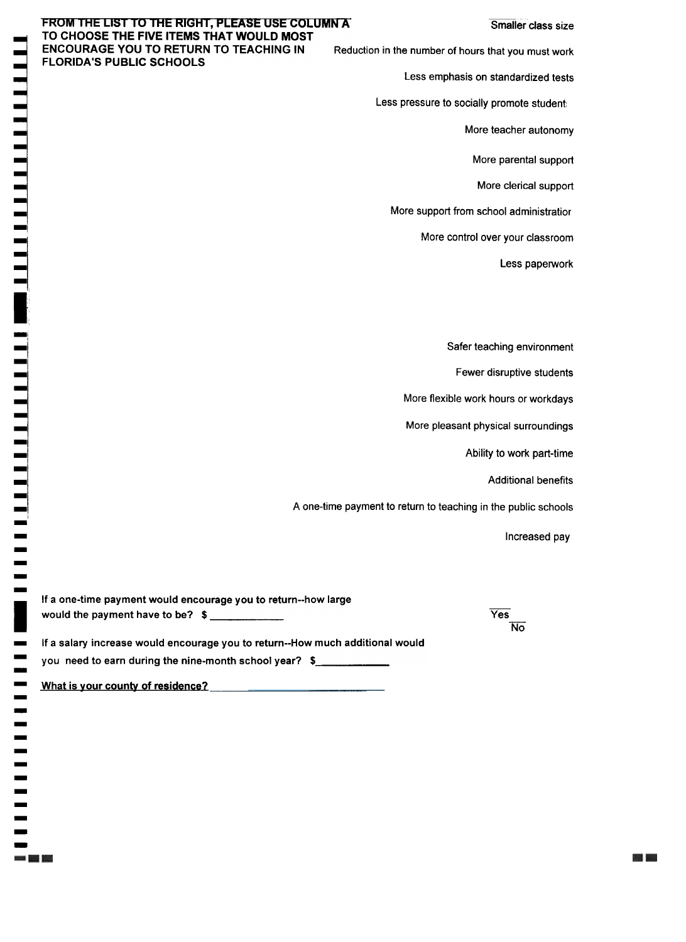**BOOK 1999** 

#### FROM THE LIST TO THE RIGHT, PLEASE USE COLUMN AT TO CHOOSE THE FIVE ITEMS THAT WOULD MOST **ENCOURAGE YOU TO RETURN TO TEACHING IN FLORIDA'S PUBLIC SCHOOLS**

Reduction in the number of hours that you must work

Less emphasis on standardized tests

Less pressure to socially promote student:

More teacher autonomy

More parental support

More clerical support

More support from school administratior

More control over your classroom

Less paperwork

Safer teaching environment

Fewer disruptive students

More flexible work hours or workdays

More pleasant physical surroundings

Ability to work part-time

**Additional benefits** 

A one-time payment to return to teaching in the public schools

Increased pay

| If a one-time payment would encourage you to return--how large                |     |
|-------------------------------------------------------------------------------|-----|
| would the payment have to be? $\frac{2}{1}$                                   | Yes |
|                                                                               | No. |
| If a salary increase would encourage you to return--How much additional would |     |
| you need to earn during the nine-month school year? \$                        |     |

What is your county of residence?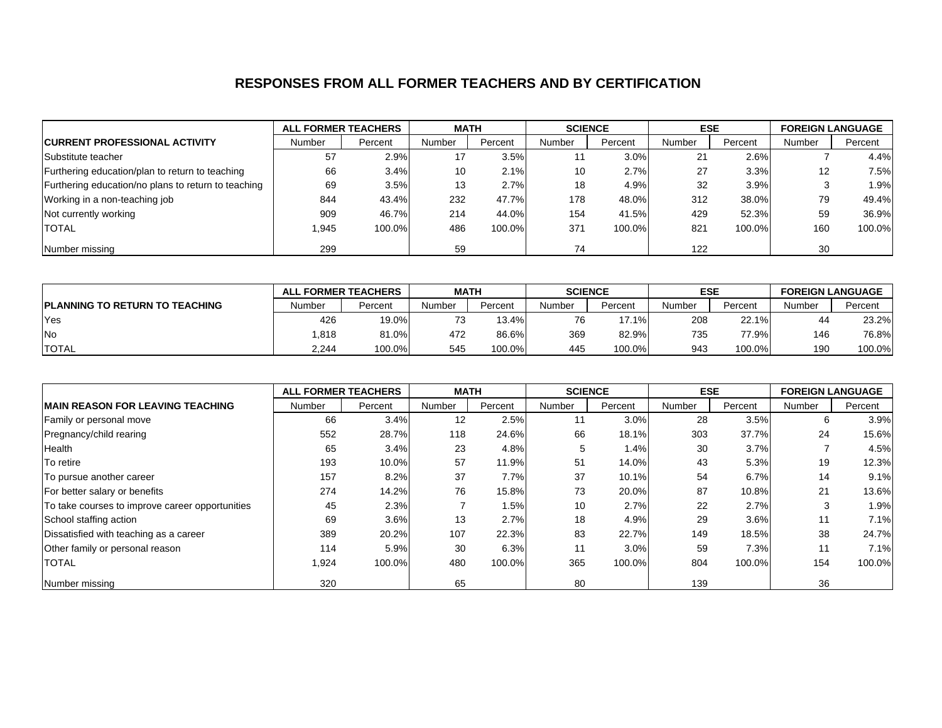## **RESPONSES FROM ALL FORMER TEACHERS AND BY CERTIFICATION**

|                                                     |        | <b>ALL FORMER TEACHERS</b> | <b>MATH</b> |         | <b>SCIENCE</b> |         | <b>ESE</b> |         | <b>FOREIGN LANGUAGE</b> |         |
|-----------------------------------------------------|--------|----------------------------|-------------|---------|----------------|---------|------------|---------|-------------------------|---------|
| <b>CURRENT PROFESSIONAL ACTIVITY</b>                | Number | Percent                    | Number      | Percent | <b>Number</b>  | Percent | Number     | Percent | Number                  | Percent |
| Substitute teacher                                  | 57     | 2.9%                       | 17          | 3.5%    |                | 3.0%    | 21         | 2.6%    |                         | 4.4%    |
| Furthering education/plan to return to teaching     | 66     | 3.4%                       | 10          | 2.1%    | 10             | 2.7%    | 27         | 3.3%    | 12                      | 7.5%    |
| Furthering education/no plans to return to teaching | 69     | 3.5%                       | 13          | 2.7%    | 18             | 4.9%    | 32         | 3.9%    |                         | 1.9%    |
| Working in a non-teaching job                       | 844    | 43.4%                      | 232         | 47.7%   | 178            | 48.0%   | 312        | 38.0%   | 79                      | 49.4%   |
| Not currently working                               | 909    | 46.7%                      | 214         | 44.0%   | 154            | 41.5%   | 429        | 52.3%   | 59                      | 36.9%   |
| <b>TOTAL</b>                                        | l.945  | 100.0%                     | 486         | 100.0%  | 371            | 100.0%  | 821        | 100.0%  | 160                     | 100.0%  |
| Number missing                                      | 299    |                            | 59          |         | 74             |         | 122        |         | 30                      |         |

|                                        |        | <b>ALL FORMER TEACHERS</b> |        | <b>MATH</b> |        | <b>SCIENCE</b> |        | <b>ESE</b> |        | <b>FOREIGN LANGUAGE</b> |
|----------------------------------------|--------|----------------------------|--------|-------------|--------|----------------|--------|------------|--------|-------------------------|
| <b>IPLANNING TO RETURN TO TEACHING</b> | Number | Percent                    | Number | Percent     | Number | Percent        | Number | Percent    | Number | Percent                 |
| Yes                                    | 426    | 19.0%                      | 70     | 13.4%       |        | $17.1\%$       | 208    | 22.1%      | 44     | 23.2%                   |
| <b>No</b>                              | .818   | 81.0%                      | 472    | 86.6%       | 369    | 82.9%          | 735    | 77.9%      | 146    | 76.8%                   |
| <b>TOTAL</b>                           | 2.244  | 100.0%                     | 545    | 100.0%      | 445    | 100.0%         | 943    | 100.0%     | 190    | 100.0%                  |

|                                                 | <b>ALL FORMER TEACHERS</b> |         | <b>MATH</b> |         | <b>SCIENCE</b> |         | <b>ESE</b> |         | <b>FOREIGN LANGUAGE</b> |         |
|-------------------------------------------------|----------------------------|---------|-------------|---------|----------------|---------|------------|---------|-------------------------|---------|
| <b>IMAIN REASON FOR LEAVING TEACHING</b>        | Number                     | Percent | Number      | Percent | Number         | Percent | Number     | Percent | Number                  | Percent |
| Family or personal move                         | 66                         | 3.4%    | 12          | 2.5%    | 11             | 3.0%    | 28         | 3.5%    | 6                       | 3.9%    |
| Pregnancy/child rearing                         | 552                        | 28.7%   | 118         | 24.6%   | 66             | 18.1%   | 303        | 37.7%   | 24                      | 15.6%   |
| Health                                          | 65                         | 3.4%    | 23          | 4.8%    | 5              | 1.4%    | 30         | 3.7%    |                         | 4.5%    |
| To retire                                       | 193                        | 10.0%   | 57          | 11.9%   | 51             | 14.0%   | 43         | 5.3%    | 19                      | 12.3%   |
| To pursue another career                        | 157                        | 8.2%    | 37          | 7.7%    | 37             | 10.1%   | 54         | 6.7%    | 14                      | 9.1%    |
| For better salary or benefits                   | 274                        | 14.2%   | 76          | 15.8%   | 73             | 20.0%   | 87         | 10.8%   | 21                      | 13.6%   |
| To take courses to improve career opportunities | 45                         | 2.3%    |             | 1.5%    | 10             | 2.7%    | 22         | 2.7%    | 3                       | 1.9%    |
| School staffing action                          | 69                         | 3.6%    | 13          | 2.7%    | 18             | 4.9%    | 29         | 3.6%    | 11                      | 7.1%    |
| Dissatisfied with teaching as a career          | 389                        | 20.2%   | 107         | 22.3%   | 83             | 22.7%   | 149        | 18.5%   | 38                      | 24.7%   |
| Other family or personal reason                 | 114                        | 5.9%    | 30          | 6.3%    | 11             | 3.0%    | 59         | 7.3%    | 11                      | 7.1%    |
| <b>TOTAL</b>                                    | 1,924                      | 100.0%  | 480         | 100.0%  | 365            | 100.0%  | 804        | 100.0%  | 154                     | 100.0%  |
| Number missing                                  | 320                        |         | 65          |         | 80             |         | 139        |         | 36                      |         |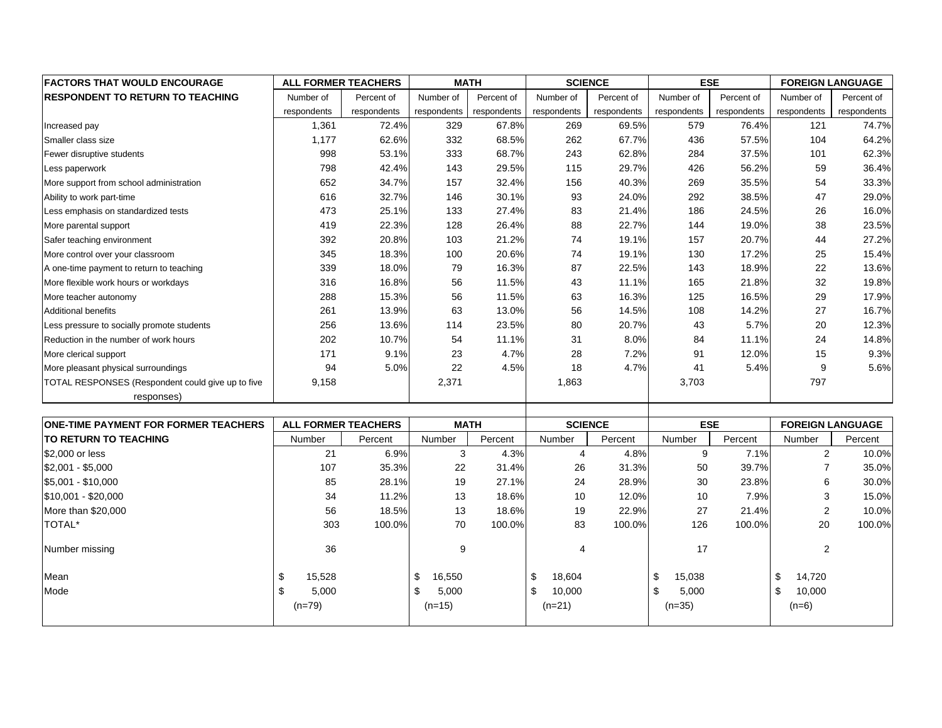| <b>FACTORS THAT WOULD ENCOURAGE</b>               | <b>ALL FORMER TEACHERS</b> |                     |             | <b>MATH</b> |                | <b>SCIENCE</b> |             | <b>ESE</b>  |             | <b>FOREIGN LANGUAGE</b>  |
|---------------------------------------------------|----------------------------|---------------------|-------------|-------------|----------------|----------------|-------------|-------------|-------------|--------------------------|
| <b>RESPONDENT TO RETURN TO TEACHING</b>           | Number of                  | Percent of          | Number of   | Percent of  | Number of      | Percent of     | Number of   | Percent of  | Number of   | Percent of               |
|                                                   | respondents                | respondents         | respondents | respondents | respondents    | respondents    | respondents | respondents | respondents | respondents              |
| Increased pay                                     | 1,361                      | 72.4%               | 329         | 67.8%       | 269            | 69.5%          | 579         | 76.4%       | 121         | 74.7%                    |
| Smaller class size                                | 1,177                      | 62.6%               | 332         | 68.5%       | 262            | 67.7%          | 436         | 57.5%       | 104         | 64.2%                    |
| Fewer disruptive students                         | 998                        | 53.1%               | 333         | 68.7%       | 243            | 62.8%          | 284         | 37.5%       | 101         | 62.3%                    |
| Less paperwork                                    | 798                        | 42.4%               | 143         | 29.5%       | 115            | 29.7%          | 426         | 56.2%       | 59          | 36.4%                    |
| More support from school administration           | 652                        | 34.7%               | 157         | 32.4%       | 156            | 40.3%          | 269         | 35.5%       | 54          | 33.3%                    |
| Ability to work part-time                         | 616                        | 32.7%               | 146         | 30.1%       | 93             | 24.0%          | 292         | 38.5%       | 47          | 29.0%                    |
| Less emphasis on standardized tests               | 473                        | 25.1%               | 133         | 27.4%       | 83             | 21.4%          | 186         | 24.5%       | 26          | 16.0%                    |
| More parental support                             | 419                        | 22.3%               | 128         | 26.4%       | 88             | 22.7%          | 144         | 19.0%       | 38          | 23.5%                    |
| Safer teaching environment                        | 392                        | 20.8%               | 103         | 21.2%       | 74             | 19.1%          | 157         | 20.7%       | 44          | 27.2%                    |
| More control over your classroom                  | 345                        | 18.3%               | 100         | 20.6%       | 74             | 19.1%          | 130         | 17.2%       | 25          | 15.4%                    |
| A one-time payment to return to teaching          | 339                        | 18.0%               | 79          | 16.3%       | 87             | 22.5%          | 143         | 18.9%       | 22          | 13.6%                    |
| More flexible work hours or workdays              | 316                        | 16.8%               | 56          | 11.5%       | 43             | 11.1%          | 165         | 21.8%       | 32          | 19.8%                    |
| More teacher autonomy                             | 288                        | 15.3%               | 56          | 11.5%       | 63             | 16.3%          | 125         | 16.5%       | 29          | 17.9%                    |
| <b>Additional benefits</b>                        | 261                        | 13.9%               | 63          | 13.0%       | 56             | 14.5%          | 108         | 14.2%       | 27          | 16.7%                    |
| Less pressure to socially promote students        | 256                        | 13.6%               | 114         | 23.5%       | 80             | 20.7%          | 43          | 5.7%        | 20          | 12.3%                    |
| Reduction in the number of work hours             | 202                        | 10.7%               | 54          | 11.1%       | 31             | 8.0%           | 84          | 11.1%       | 24          | 14.8%                    |
| More clerical support                             | 171                        | 9.1%                | 23          | 4.7%        | 28             | 7.2%           | 91          | 12.0%       | 15          | 9.3%                     |
| More pleasant physical surroundings               | 94                         | 5.0%                | 22          | 4.5%        | 18             | 4.7%           | 41          | 5.4%        | 9           | 5.6%                     |
| TOTAL RESPONSES (Respondent could give up to five | 9,158                      |                     | 2,371       |             | 1,863          |                | 3,703       |             | 797         |                          |
| responses)                                        |                            |                     |             |             |                |                |             |             |             |                          |
| <b>ONE-TIME PAYMENT FOR FORMER TEACHERS</b>       |                            | ALL FORMER TEACHERS |             | <b>MATH</b> | <b>SCIENCE</b> |                |             | <b>FSF</b>  |             | <b>EOREIGN I ANGUAGE</b> |

| <b>ONE-TIME PAYMENT FOR FORMER TEACHERS</b> | <b>ALL FORMER TEACHERS</b> |         | <b>MATH</b>  |         | <b>SCIENCE</b> |         | <b>ESE</b>   |         | <b>FOREIGN LANGUAGE</b> |         |
|---------------------------------------------|----------------------------|---------|--------------|---------|----------------|---------|--------------|---------|-------------------------|---------|
| <b>ITO RETURN TO TEACHING</b>               | Number                     | Percent | Number       | Percent | Number         | Percent | Number       | Percent | Number                  | Percent |
| \$2,000 or less                             | 21                         | 6.9%    | 3            | 4.3%    | 4              | 4.8%    | 9            | 7.1%    | 2                       | 10.0%   |
| $$2,001 - $5,000$                           | 107                        | 35.3%   | 22           | 31.4%   | 26             | 31.3%   | 50           | 39.7%   |                         | 35.0%   |
| $$5,001 - $10,000$                          | 85                         | 28.1%   | 19           | 27.1%   | 24             | 28.9%   | 30           | 23.8%   | 6                       | 30.0%   |
| $$10,001 - $20,000$                         | 34                         | 11.2%   | 13           | 18.6%   | 10             | 12.0%   | 10           | 7.9%    | 3                       | 15.0%   |
| More than \$20,000                          | 56                         | 18.5%   | 13           | 18.6%   | 19             | 22.9%   | 27           | 21.4%   | 2                       | 10.0%   |
| <b>TOTAL*</b>                               | 303                        | 100.0%  | 70           | 100.0%  | 83             | 100.0%  | 126          | 100.0%  | 20                      | 100.0%  |
| Number missing                              | 36                         |         | 9            |         | 4              |         | 17           |         | 2                       |         |
| Mean                                        | 15,528                     |         | 16,550       |         | \$<br>18,604   |         | \$<br>15,038 |         | \$<br>14,720            |         |
| Mode                                        | 5,000                      |         | 5,000<br>\$. |         | \$<br>10,000   |         | \$<br>5,000  |         | \$<br>10,000            |         |
|                                             | $(n=79)$                   |         | $(n=15)$     |         | $(n=21)$       |         | $(n=35)$     |         | $(n=6)$                 |         |
|                                             |                            |         |              |         |                |         |              |         |                         |         |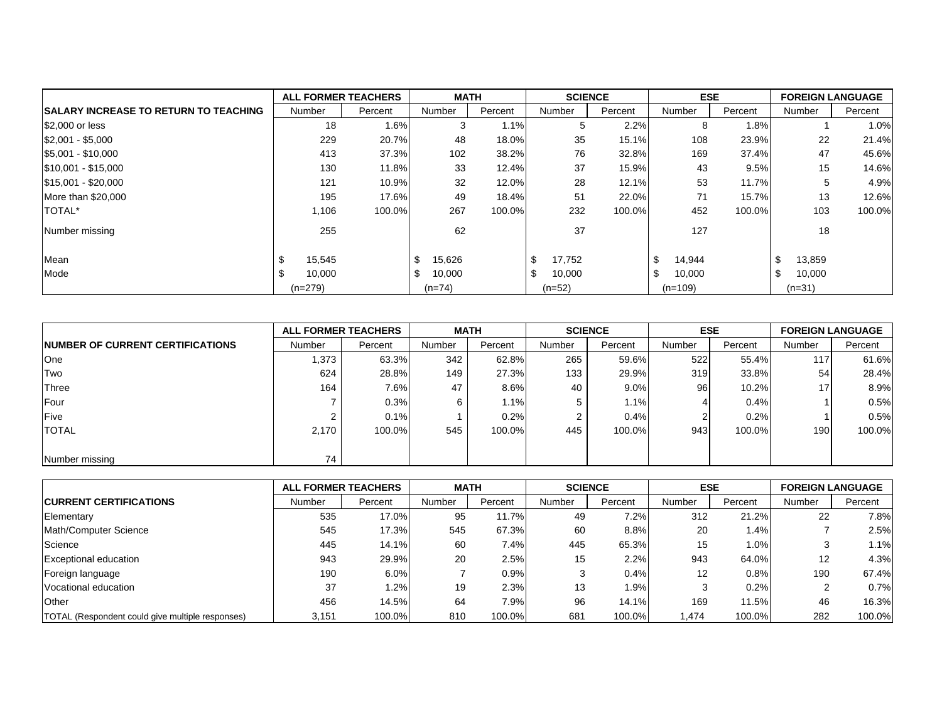|                                              | <b>ALL FORMER TEACHERS</b> |         | <b>MATH</b>  |         | <b>SCIENCE</b> |         | <b>ESE</b>   |         | <b>FOREIGN LANGUAGE</b> |         |
|----------------------------------------------|----------------------------|---------|--------------|---------|----------------|---------|--------------|---------|-------------------------|---------|
| <b>SALARY INCREASE TO RETURN TO TEACHING</b> | Number                     | Percent | Number       | Percent | Number         | Percent | Number       | Percent | Number                  | Percent |
| \$2,000 or less                              | 18                         | 1.6%    | 3            | 1.1%    | 5              | 2.2%    | 8            | 1.8%    |                         | 1.0%    |
| $$2,001 - $5,000$                            | 229                        | 20.7%   | 48           | 18.0%   | 35             | 15.1%   | 108          | 23.9%   | 22                      | 21.4%   |
| $$5,001 - $10,000$                           | 413                        | 37.3%   | 102          | 38.2%   | 76             | 32.8%   | 169          | 37.4%   | 47                      | 45.6%   |
| $$10,001 - $15,000$                          | 130                        | 11.8%   | 33           | 12.4%   | 37             | 15.9%   | 43           | 9.5%    | 15                      | 14.6%   |
| $$15,001 - $20,000$                          | 121                        | 10.9%   | 32           | 12.0%   | 28             | 12.1%   | 53           | 11.7%   | 5                       | 4.9%    |
| More than \$20,000                           | 195                        | 17.6%   | 49           | 18.4%   | 51             | 22.0%   | 71           | 15.7%   | 13                      | 12.6%   |
| TOTAL*                                       | 1,106                      | 100.0%  | 267          | 100.0%  | 232            | 100.0%  | 452          | 100.0%  | 103                     | 100.0%  |
| Number missing                               | 255                        |         | 62           |         | 37             |         | 127          |         | 18                      |         |
| Mean                                         | 15,545                     |         | 15,626<br>\$ |         | \$<br>17,752   |         | \$<br>14,944 |         | \$<br>13,859            |         |
| Mode                                         | 10,000                     |         | \$<br>10,000 |         | \$<br>10,000   |         | \$<br>10,000 |         | \$<br>10,000            |         |
|                                              | $(n=279)$                  |         | $(n=74)$     |         | $(n=52)$       |         | $(n=109)$    |         | $(n=31)$                |         |

|                                          |        | <b>ALL FORMER TEACHERS</b> | <b>MATH</b> |         |        | <b>SCIENCE</b> |               | <b>ESE</b> |        | <b>FOREIGN LANGUAGE</b> |
|------------------------------------------|--------|----------------------------|-------------|---------|--------|----------------|---------------|------------|--------|-------------------------|
| <b>INUMBER OF CURRENT CERTIFICATIONS</b> | Number | Percent                    | Number      | Percent | Number | Percent        | <b>Number</b> | Percent    | Number | Percent                 |
| One                                      | 373. ا | 63.3%                      | 342         | 62.8%   | 265    | 59.6%          | 522           | 55.4%      | 117    | 61.6%                   |
| Two                                      | 624    | 28.8%                      | 149         | 27.3%   | 133    | 29.9%          | 319           | 33.8%      | 54     | 28.4%                   |
| Three                                    | 164    | 7.6%                       | 47          | 8.6%    | 40     | $9.0\%$        | 96            | 10.2%      |        | 8.9%                    |
| Four                                     |        | 0.3%                       | 6           | $1.1\%$ |        | $1.1\%$        |               | 0.4%       |        | 0.5%                    |
| <b>IFive</b>                             |        | 0.1%                       |             | 0.2%    |        | 0.4%           |               | 0.2%       |        | 0.5%                    |
| <b>TOTAL</b>                             | 2.170  | 100.0%                     | 545         | 100.0%  | 445    | 100.0%         | 943           | 100.0%     | 190    | 100.0%                  |
|                                          |        |                            |             |         |        |                |               |            |        |                         |
| Number missing                           | 74     |                            |             |         |        |                |               |            |        |                         |

|                                                  | <b>ALL FORMER TEACHERS</b> |         | <b>MATH</b> |         | <b>SCIENCE</b> |         | <b>ESE</b> |         | <b>FOREIGN LANGUAGE</b> |         |
|--------------------------------------------------|----------------------------|---------|-------------|---------|----------------|---------|------------|---------|-------------------------|---------|
| <b>ICURRENT CERTIFICATIONS</b>                   | Number                     | Percent | Number      | Percent | Number         | Percent | Number     | Percent | Number                  | Percent |
| Elementary                                       | 535                        | 17.0%   | 95          | 11.7%   | 49             | $7.2\%$ | 312        | 21.2%   | 22                      | 7.8%    |
| Math/Computer Science                            | 545                        | 17.3%   | 545         | 67.3%   | 60             | 8.8%    | 20         | 1.4%    |                         | 2.5%    |
| Science                                          | 445                        | 14.1%   | 60          | 7.4%    | 445            | 65.3%   | 15         | 1.0%    |                         | 1.1%    |
| <b>Exceptional education</b>                     | 943                        | 29.9%   | 20          | 2.5%    | 15             | 2.2%    | 943        | 64.0%   | 12                      | 4.3%    |
| Foreign language                                 | 190                        | 6.0%    |             | $0.9\%$ | 3              | 0.4%    | 12         | 0.8%    | 190                     | 67.4%   |
| Vocational education                             | 37                         | 1.2%    | 19          | 2.3%    | 13             | $1.9\%$ |            | 0.2%    |                         | 0.7%    |
| Other                                            | 456                        | 14.5%   | 64          | 7.9%    | 96             | 14.1%   | 169        | 11.5%   | 46                      | 16.3%   |
| TOTAL (Respondent could give multiple responses) | 3,151                      | 100.0%  | 810         | 100.0%  | 681            | 100.0%  | .474       | 100.0%  | 282                     | 100.0%  |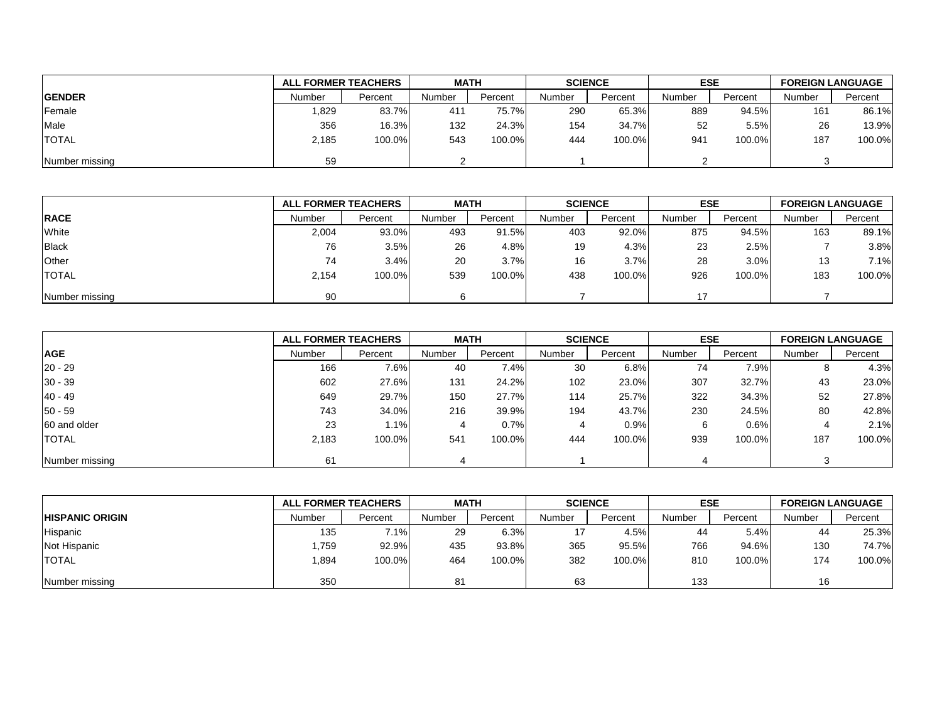|                |        | <b>ALL FORMER TEACHERS</b> |        | <b>MATH</b> |        | <b>SCIENCE</b> |        | <b>ESE</b> |        | <b>FOREIGN LANGUAGE</b> |
|----------------|--------|----------------------------|--------|-------------|--------|----------------|--------|------------|--------|-------------------------|
| <b>GENDER</b>  | Number | Percent                    | Number | Percent     | Number | Percent        | Number | Percent    | Number | Percent                 |
| Female         | 829. ا | 83.7%                      | 411    | 75.7%       | 290    | 65.3%          | 889    | 94.5%      | 161    | 86.1%                   |
| Male           | 356    | 16.3%                      | 132    | 24.3%       | 154    | 34.7%          | 52     | 5.5%       | 26     | 13.9%                   |
| <b>TOTAL</b>   | 2,185  | 100.0%                     | 543    | 100.0%      | 444    | 100.0%         | 941    | 100.0%     | 187    | 100.0%                  |
| Number missing | 59     |                            |        |             |        |                |        |            |        |                         |

|                |        | <b>ALL FORMER TEACHERS</b> |        | <b>MATH</b> |        | <b>SCIENCE</b> |               | <b>ESE</b> |        | <b>FOREIGN LANGUAGE</b> |
|----------------|--------|----------------------------|--------|-------------|--------|----------------|---------------|------------|--------|-------------------------|
| <b>RACE</b>    | Number | Percent                    | Number | Percent     | Number | Percent        | <b>Number</b> | Percent    | Number | Percent                 |
| White          | 2,004  | 93.0%                      | 493    | 91.5%       | 403    | 92.0%          | 875           | 94.5%      | 163    | 89.1%                   |
| <b>Black</b>   | 76     | 3.5%                       | 26     | 4.8%        | 19     | 4.3%           | 23            | 2.5%       |        | 3.8%                    |
| Other          | 74     | 3.4%                       | 20     | 3.7%        | 16     | 3.7%           | 28            | 3.0%       | 13     | 7.1%                    |
| <b>TOTAL</b>   | 2.154  | 100.0%                     | 539    | 100.0%      | 438    | 100.0%         | 926           | 100.0%     | 183    | 100.0%                  |
| Number missing | 90     |                            |        |             |        |                | 17            |            |        |                         |

|                | <b>ALL FORMER TEACHERS</b> |         | <b>MATH</b> |         | <b>SCIENCE</b> |         | <b>ESE</b> |         | <b>FOREIGN LANGUAGE</b> |         |
|----------------|----------------------------|---------|-------------|---------|----------------|---------|------------|---------|-------------------------|---------|
| <b>AGE</b>     | Number                     | Percent | Number      | Percent | Number         | Percent | Number     | Percent | Number                  | Percent |
| $20 - 29$      | 166                        | 7.6%    | 40          | 7.4%    | 30             | 6.8%    | 74         | 7.9%    |                         | 4.3%    |
| $30 - 39$      | 602                        | 27.6%   | 131         | 24.2%   | 102            | 23.0%   | 307        | 32.7%   | 43                      | 23.0%   |
| $40 - 49$      | 649                        | 29.7%   | 150         | 27.7%   | 114            | 25.7%   | 322        | 34.3%   | 52                      | 27.8%   |
| $50 - 59$      | 743                        | 34.0%   | 216         | 39.9%   | 194            | 43.7%   | 230        | 24.5%   | 80                      | 42.8%   |
| 60 and older   | 23                         | 1.1%    |             | 0.7%    | 4              | 0.9%    | 6          | 0.6%    |                         | 2.1%    |
| <b>TOTAL</b>   | 2,183                      | 100.0%  | 541         | 100.0%  | 444            | 100.0%  | 939        | 100.0%  | 187                     | 100.0%  |
| Number missing | 61                         |         |             |         |                |         |            |         |                         |         |

|                        | <b>ALL FORMER TEACHERS</b> |         | <b>MATH</b>    |         | <b>SCIENCE</b> |         | <b>ESE</b> |         | <b>FOREIGN LANGUAGE</b> |         |
|------------------------|----------------------------|---------|----------------|---------|----------------|---------|------------|---------|-------------------------|---------|
| <b>HISPANIC ORIGIN</b> | Number                     | Percent | Number         | Percent | Number         | Percent | Number     | Percent | Number                  | Percent |
| Hispanic               | 135                        | 7.1%    | 29             | 6.3%    |                | 4.5%    | 44         | 5.4%    | 44                      | 25.3%   |
| Not Hispanic           | 1,759                      | 92.9%   | 435            | 93.8%   | 365            | 95.5%   | 766        | 94.6%   | 130                     | 74.7%   |
| <b>TOTAL</b>           | 1,894                      | 100.0%  | 464            | 100.0%  | 382            | 100.0%  | 810        | 100.0%  | 174                     | 100.0%  |
| Number missing         | 350                        |         | 8 <sup>4</sup> |         | 63             |         | 133        |         | 16                      |         |